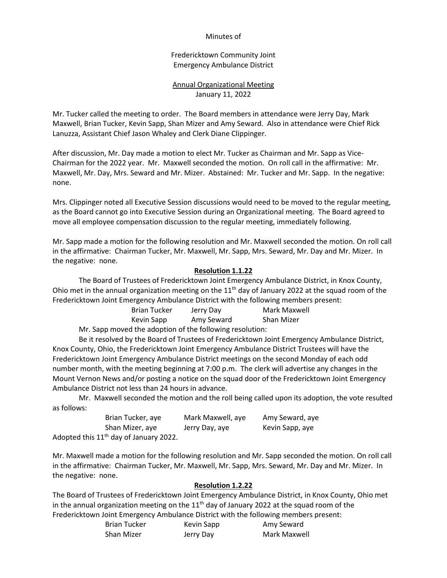### Minutes of

Fredericktown Community Joint Emergency Ambulance District

# Annual Organizational Meeting January 11, 2022

Mr. Tucker called the meeting to order. The Board members in attendance were Jerry Day, Mark Maxwell, Brian Tucker, Kevin Sapp, Shan Mizer and Amy Seward. Also in attendance were Chief Rick Lanuzza, Assistant Chief Jason Whaley and Clerk Diane Clippinger.

After discussion, Mr. Day made a motion to elect Mr. Tucker as Chairman and Mr. Sapp as Vice-Chairman for the 2022 year. Mr. Maxwell seconded the motion. On roll call in the affirmative: Mr. Maxwell, Mr. Day, Mrs. Seward and Mr. Mizer. Abstained: Mr. Tucker and Mr. Sapp. In the negative: none.

Mrs. Clippinger noted all Executive Session discussions would need to be moved to the regular meeting, as the Board cannot go into Executive Session during an Organizational meeting. The Board agreed to move all employee compensation discussion to the regular meeting, immediately following.

Mr. Sapp made a motion for the following resolution and Mr. Maxwell seconded the motion. On roll call in the affirmative: Chairman Tucker, Mr. Maxwell, Mr. Sapp, Mrs. Seward, Mr. Day and Mr. Mizer. In the negative: none.

## **Resolution 1.1.22**

The Board of Trustees of Fredericktown Joint Emergency Ambulance District, in Knox County, Ohio met in the annual organization meeting on the  $11<sup>th</sup>$  day of January 2022 at the squad room of the Fredericktown Joint Emergency Ambulance District with the following members present:

| <b>Brian Tucker</b> | Jerry Day  | Mark Maxwell |
|---------------------|------------|--------------|
| Kevin Sapp          | Amy Seward | Shan Mizer   |
|                     |            |              |

Mr. Sapp moved the adoption of the following resolution:

Be it resolved by the Board of Trustees of Fredericktown Joint Emergency Ambulance District, Knox County, Ohio, the Fredericktown Joint Emergency Ambulance District Trustees will have the Fredericktown Joint Emergency Ambulance District meetings on the second Monday of each odd number month, with the meeting beginning at 7:00 p.m. The clerk will advertise any changes in the Mount Vernon News and/or posting a notice on the squad door of the Fredericktown Joint Emergency Ambulance District not less than 24 hours in advance.

Mr. Maxwell seconded the motion and the roll being called upon its adoption, the vote resulted as follows:

| Brian Tucker, ave                                  | Mark Maxwell, aye | Amy Seward, aye |
|----------------------------------------------------|-------------------|-----------------|
| Shan Mizer, aye                                    | Jerry Day, aye    | Kevin Sapp, aye |
| Adopted this 11 <sup>th</sup> day of January 2022. |                   |                 |

Mr. Maxwell made a motion for the following resolution and Mr. Sapp seconded the motion. On roll call in the affirmative: Chairman Tucker, Mr. Maxwell, Mr. Sapp, Mrs. Seward, Mr. Day and Mr. Mizer. In the negative: none.

#### **Resolution 1.2.22**

The Board of Trustees of Fredericktown Joint Emergency Ambulance District, in Knox County, Ohio met in the annual organization meeting on the 11<sup>th</sup> day of January 2022 at the squad room of the Fredericktown Joint Emergency Ambulance District with the following members present:

| <b>Brian Tucker</b> | Kevin Sapp | Amy Seward   |
|---------------------|------------|--------------|
| <b>Shan Mizer</b>   | Jerry Day  | Mark Maxwell |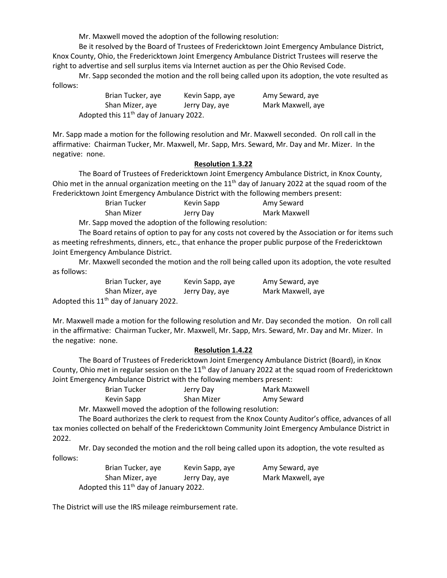Mr. Maxwell moved the adoption of the following resolution:

Be it resolved by the Board of Trustees of Fredericktown Joint Emergency Ambulance District, Knox County, Ohio, the Fredericktown Joint Emergency Ambulance District Trustees will reserve the right to advertise and sell surplus items via Internet auction as per the Ohio Revised Code.

Mr. Sapp seconded the motion and the roll being called upon its adoption, the vote resulted as follows:

| Brian Tucker, aye                                  | Kevin Sapp, aye | Amy Seward, aye   |
|----------------------------------------------------|-----------------|-------------------|
| Shan Mizer, aye                                    | Jerry Day, aye  | Mark Maxwell, aye |
| Adopted this 11 <sup>th</sup> day of January 2022. |                 |                   |

Mr. Sapp made a motion for the following resolution and Mr. Maxwell seconded. On roll call in the affirmative: Chairman Tucker, Mr. Maxwell, Mr. Sapp, Mrs. Seward, Mr. Day and Mr. Mizer. In the negative: none.

### **Resolution 1.3.22**

The Board of Trustees of Fredericktown Joint Emergency Ambulance District, in Knox County, Ohio met in the annual organization meeting on the 11<sup>th</sup> day of January 2022 at the squad room of the Fredericktown Joint Emergency Ambulance District with the following members present:

| Brian Tucker | Kevin Sapp | Amy Seward   |
|--------------|------------|--------------|
| Shan Mizer   | Jerry Day  | Mark Maxwell |

Mr. Sapp moved the adoption of the following resolution:

The Board retains of option to pay for any costs not covered by the Association or for items such as meeting refreshments, dinners, etc., that enhance the proper public purpose of the Fredericktown Joint Emergency Ambulance District.

Mr. Maxwell seconded the motion and the roll being called upon its adoption, the vote resulted as follows:

| Brian Tucker, ave                        | Kevin Sapp, ave | Amy Seward, aye   |
|------------------------------------------|-----------------|-------------------|
| Shan Mizer, aye                          | Jerry Day, aye  | Mark Maxwell, aye |
| Adopted this $11th$ day of January 2022. |                 |                   |

Mr. Maxwell made a motion for the following resolution and Mr. Day seconded the motion. On roll call in the affirmative: Chairman Tucker, Mr. Maxwell, Mr. Sapp, Mrs. Seward, Mr. Day and Mr. Mizer. In the negative: none.

#### **Resolution 1.4.22**

The Board of Trustees of Fredericktown Joint Emergency Ambulance District (Board), in Knox County, Ohio met in regular session on the  $11<sup>th</sup>$  day of January 2022 at the squad room of Fredericktown Joint Emergency Ambulance District with the following members present:

| <b>Brian Tucker</b> | Jerry Day  | Mark Maxwell |  |
|---------------------|------------|--------------|--|
| Kevin Sapp          | Shan Mizer | Amy Seward   |  |

Mr. Maxwell moved the adoption of the following resolution:

The Board authorizes the clerk to request from the Knox County Auditor's office, advances of all tax monies collected on behalf of the Fredericktown Community Joint Emergency Ambulance District in 2022.

Mr. Day seconded the motion and the roll being called upon its adoption, the vote resulted as follows:

| Brian Tucker, aye                        | Kevin Sapp, aye | Amy Seward, aye   |
|------------------------------------------|-----------------|-------------------|
| Shan Mizer, aye                          | Jerry Day, aye  | Mark Maxwell, aye |
| Adopted this $11th$ day of January 2022. |                 |                   |

The District will use the IRS mileage reimbursement rate.